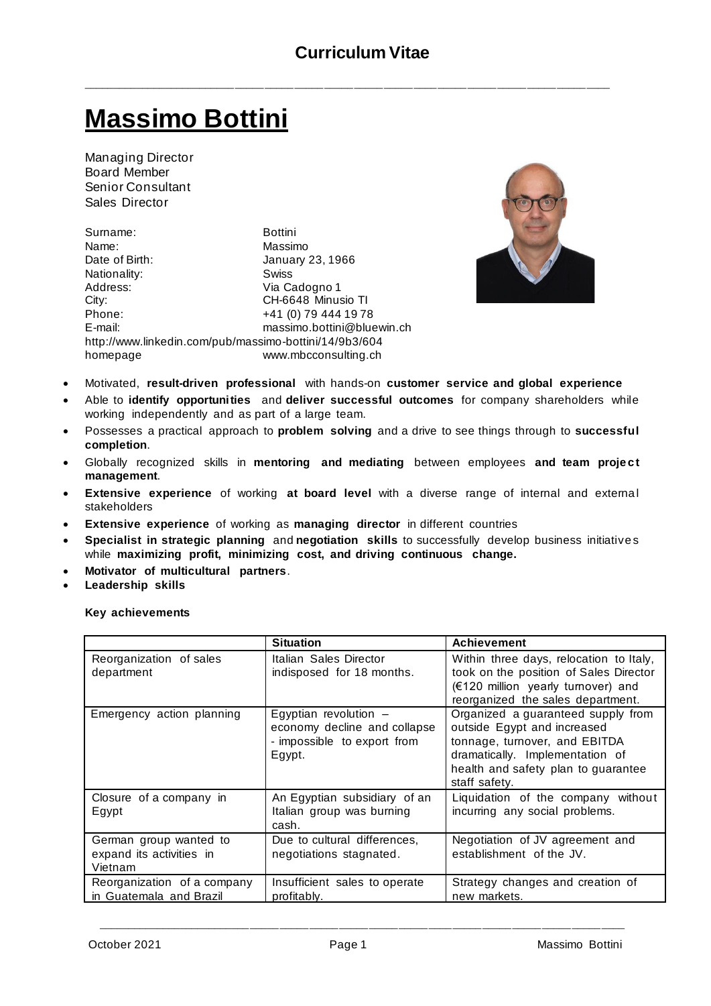\_\_\_\_\_\_\_\_\_\_\_\_\_\_\_\_\_\_\_\_\_\_\_\_\_\_\_\_\_\_\_\_\_\_\_\_\_\_\_\_\_\_\_\_\_\_\_\_\_\_\_\_\_\_\_\_\_\_\_\_\_\_\_\_\_\_\_\_\_\_\_\_\_\_\_\_\_\_\_\_\_\_\_\_\_\_\_\_\_

# **Massimo Bottini**

Managing Director Board Member Senior Consultant Sales Director

Surname: Bottini Name: Massimo Date of Birth: January 23, 1966 Nationality: Swiss Address: Via Cadogno 1 City: CH-6648 Minusio TI Phone: +41 (0) 79 444 19 78 E-mail: massimo.bottini@bluewin.ch <http://www.linkedin.com/pub/massimo-bottini/14/9b3/604> homepage www.mbcconsulting.ch



- Motivated, **result-driven professional** with hands-on **customer service and global experience**
- Able to **identify opportunities** and **deliver successful outcomes** for company shareholders while working independently and as part of a large team.
- Possesses a practical approach to **problem solving** and a drive to see things through to **successful completion**.
- Globally recognized skills in mentoring and mediating between employees and team project **management**.
- **Extensive experience** of working at board level with a diverse range of internal and external stakeholders
- **Extensive experience** of working as **managing director** in different countries
- **Specialist in strategic planning** and **negotiation skills** to successfully develop business initiative s while **maximizing profit, minimizing cost, and driving continuous change.**
- **Motivator of multicultural partners**.
- **Leadership skills**

**Key achievements**

|                                                               | <b>Situation</b>                                                                                 | <b>Achievement</b>                                                                                                                                                                            |
|---------------------------------------------------------------|--------------------------------------------------------------------------------------------------|-----------------------------------------------------------------------------------------------------------------------------------------------------------------------------------------------|
| Reorganization of sales<br>department                         | Italian Sales Director<br>indisposed for 18 months.                                              | Within three days, relocation to Italy,<br>took on the position of Sales Director<br>(€120 million yearly turnover) and<br>reorganized the sales department.                                  |
| Emergency action planning                                     | Egyptian revolution $-$<br>economy decline and collapse<br>- impossible to export from<br>Egypt. | Organized a guaranteed supply from<br>outside Egypt and increased<br>tonnage, turnover, and EBITDA<br>dramatically. Implementation of<br>health and safety plan to guarantee<br>staff safety. |
| Closure of a company in<br>Egypt                              | An Egyptian subsidiary of an<br>Italian group was burning<br>cash.                               | Liquidation of the company without<br>incurring any social problems.                                                                                                                          |
| German group wanted to<br>expand its activities in<br>Vietnam | Due to cultural differences,<br>negotiations stagnated.                                          | Negotiation of JV agreement and<br>establishment of the JV.                                                                                                                                   |
| Reorganization of a company<br>in Guatemala and Brazil        | Insufficient sales to operate<br>profitably.                                                     | Strategy changes and creation of<br>new markets.                                                                                                                                              |

\_\_\_\_\_\_\_\_\_\_\_\_\_\_\_\_\_\_\_\_\_\_\_\_\_\_\_\_\_\_\_\_\_\_\_\_\_\_\_\_\_\_\_\_\_\_\_\_\_\_\_\_\_\_\_\_\_\_\_\_\_\_\_\_\_\_\_\_\_\_\_\_\_\_\_\_\_\_\_\_\_\_\_\_\_\_\_\_\_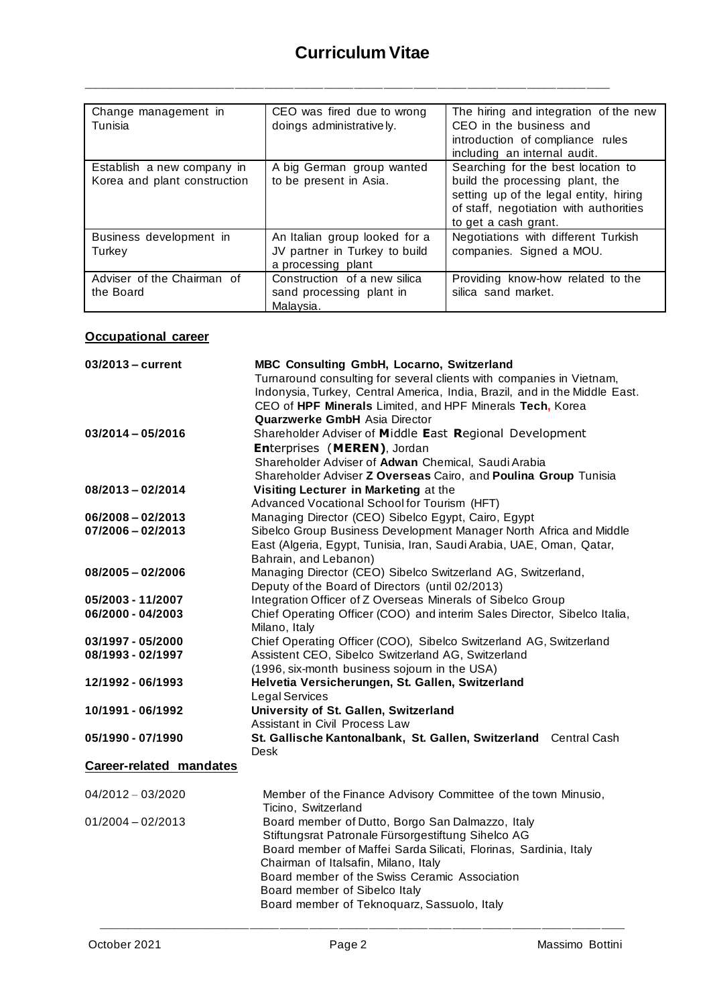\_\_\_\_\_\_\_\_\_\_\_\_\_\_\_\_\_\_\_\_\_\_\_\_\_\_\_\_\_\_\_\_\_\_\_\_\_\_\_\_\_\_\_\_\_\_\_\_\_\_\_\_\_\_\_\_\_\_\_\_\_\_\_\_\_\_\_\_\_\_\_\_\_\_\_\_\_\_\_\_\_\_\_\_\_\_\_\_\_

| Change management in<br>Tunisia | CEO was fired due to wrong<br>doings administratively. | The hiring and integration of the new<br>CEO in the business and |
|---------------------------------|--------------------------------------------------------|------------------------------------------------------------------|
|                                 |                                                        |                                                                  |
|                                 |                                                        | introduction of compliance rules                                 |
|                                 |                                                        | including an internal audit.                                     |
| Establish a new company in      | A big German group wanted                              | Searching for the best location to                               |
| Korea and plant construction    | to be present in Asia.                                 | build the processing plant, the                                  |
|                                 |                                                        | setting up of the legal entity, hiring                           |
|                                 |                                                        | of staff, negotiation with authorities                           |
|                                 |                                                        |                                                                  |
|                                 |                                                        | to get a cash grant.                                             |
| Business development in         | An Italian group looked for a                          | Negotiations with different Turkish                              |
| Turkey                          | JV partner in Turkey to build                          | companies. Signed a MOU.                                         |
|                                 | a processing plant                                     |                                                                  |
| Adviser of the Chairman of      | Construction of a new silica                           | Providing know-how related to the                                |
|                                 |                                                        |                                                                  |
| the Board                       | sand processing plant in                               | silica sand market.                                              |
|                                 | Malaysia.                                              |                                                                  |

### **Occupational career**

| 03/2013 - current              | MBC Consulting GmbH, Locarno, Switzerland                                  |  |
|--------------------------------|----------------------------------------------------------------------------|--|
|                                | Turnaround consulting for several clients with companies in Vietnam,       |  |
|                                | Indonysia, Turkey, Central America, India, Brazil, and in the Middle East. |  |
|                                | CEO of HPF Minerals Limited, and HPF Minerals Tech, Korea                  |  |
|                                | <b>Quarzwerke GmbH Asia Director</b>                                       |  |
| $03/2014 - 05/2016$            | Shareholder Adviser of Middle East Regional Development                    |  |
|                                | Enterprises (MEREN), Jordan                                                |  |
|                                | Shareholder Adviser of Adwan Chemical, Saudi Arabia                        |  |
|                                | Shareholder Adviser Z Overseas Cairo, and Poulina Group Tunisia            |  |
| $08/2013 - 02/2014$            | Visiting Lecturer in Marketing at the                                      |  |
|                                | Advanced Vocational School for Tourism (HFT)                               |  |
| $06/2008 - 02/2013$            | Managing Director (CEO) Sibelco Egypt, Cairo, Egypt                        |  |
| $07/2006 - 02/2013$            | Sibelco Group Business Development Manager North Africa and Middle         |  |
|                                | East (Algeria, Egypt, Tunisia, Iran, Saudi Arabia, UAE, Oman, Qatar,       |  |
|                                | Bahrain, and Lebanon)                                                      |  |
| $08/2005 - 02/2006$            | Managing Director (CEO) Sibelco Switzerland AG, Switzerland,               |  |
|                                | Deputy of the Board of Directors (until 02/2013)                           |  |
| 05/2003 - 11/2007              | Integration Officer of Z Overseas Minerals of Sibelco Group                |  |
| 06/2000 - 04/2003              | Chief Operating Officer (COO) and interim Sales Director, Sibelco Italia,  |  |
|                                | Milano, Italy                                                              |  |
| 03/1997 - 05/2000              | Chief Operating Officer (COO), Sibelco Switzerland AG, Switzerland         |  |
| 08/1993 - 02/1997              | Assistent CEO, Sibelco Switzerland AG, Switzerland                         |  |
|                                | (1996, six-month business sojourn in the USA)                              |  |
| 12/1992 - 06/1993              | Helvetia Versicherungen, St. Gallen, Switzerland                           |  |
|                                | Legal Services                                                             |  |
| 10/1991 - 06/1992              | University of St. Gallen, Switzerland                                      |  |
|                                | Assistant in Civil Process Law                                             |  |
| 05/1990 - 07/1990              | St. Gallische Kantonalbank, St. Gallen, Switzerland Central Cash           |  |
|                                | Desk                                                                       |  |
| <b>Career-related mandates</b> |                                                                            |  |
|                                |                                                                            |  |
| $04/2012 - 03/2020$            | Member of the Finance Advisory Committee of the town Minusio,              |  |
|                                | Ticino, Switzerland                                                        |  |
| $01/2004 - 02/2013$            | Board member of Dutto, Borgo San Dalmazzo, Italy                           |  |
|                                | Stiftungsrat Patronale Fürsorgestiftung Sihelco AG                         |  |
|                                | Board member of Maffei Sarda Silicati, Florinas, Sardinia, Italy           |  |
|                                | Chairman of Italsafin, Milano, Italy                                       |  |
|                                | Board member of the Swiss Ceramic Association                              |  |
|                                | Board member of Sibelco Italy                                              |  |
|                                | Board member of Teknoquarz, Sassuolo, Italy                                |  |
|                                |                                                                            |  |

\_\_\_\_\_\_\_\_\_\_\_\_\_\_\_\_\_\_\_\_\_\_\_\_\_\_\_\_\_\_\_\_\_\_\_\_\_\_\_\_\_\_\_\_\_\_\_\_\_\_\_\_\_\_\_\_\_\_\_\_\_\_\_\_\_\_\_\_\_\_\_\_\_\_\_\_\_\_\_\_\_\_\_\_\_\_\_\_\_